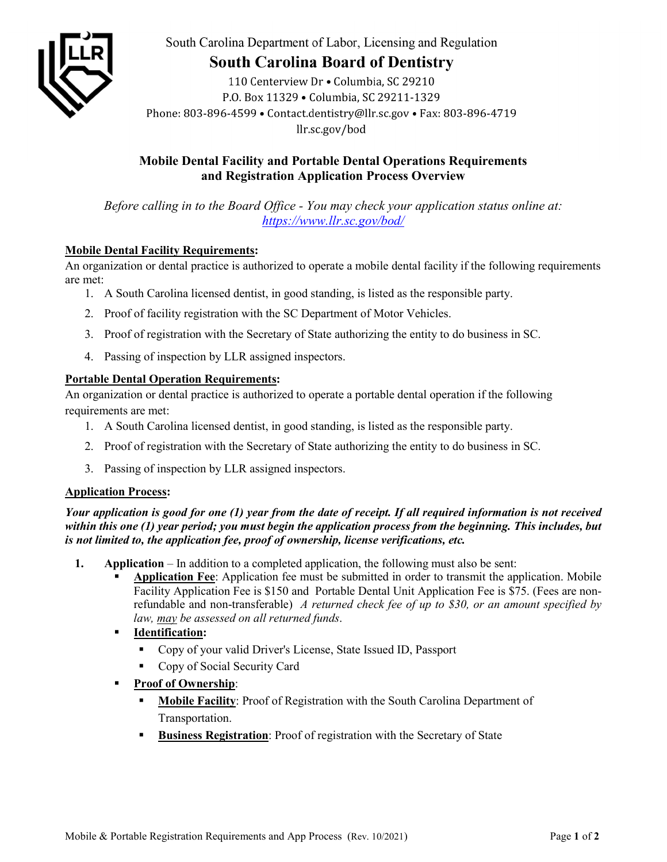

South Carolina Department of Labor, Licensing and Regulation

# **South Carolina Board of Dentistry**

110 Centerview Dr · Columbia, SC 29210 P.O. Box 11329 . Columbia, SC 29211-1329 Phone: 803-896-4599 · Contact.dentistry@llr.sc.gov · Fax: 803-896-4719 llr.sc.gov/bod

## **Mobile Dental Facility and Portable Dental Operations Requirements and Registration Application Process Overview**

*Before calling in to the Board Office - You may check your application status online at: <https://www.llr.sc.gov/bod/>*

#### **Mobile Dental Facility Requirements:**

An organization or dental practice is authorized to operate a mobile dental facility if the following requirements are met:

- 1. A South Carolina licensed dentist, in good standing, is listed as the responsible party.
- 2. Proof of facility registration with the SC Department of Motor Vehicles.
- 3. Proof of registration with the Secretary of State authorizing the entity to do business in SC.
- 4. Passing of inspection by LLR assigned inspectors.

#### **Portable Dental Operation Requirements:**

An organization or dental practice is authorized to operate a portable dental operation if the following requirements are met:

- 1. A South Carolina licensed dentist, in good standing, is listed as the responsible party.
- 2. Proof of registration with the Secretary of State authorizing the entity to do business in SC.
- 3. Passing of inspection by LLR assigned inspectors.

#### **Application Process:**

*Your application is good for one (1) year from the date of receipt. If all required information is not received within this one (1) year period; you must begin the application process from the beginning. This includes, but is not limited to, the application fee, proof of ownership, license verifications, etc.* 

- **1. Application** In addition to a completed application, the following must also be sent:
	- **Application Fee**: Application fee must be submitted in order to transmit the application. Mobile Facility Application Fee is \$150 and Portable Dental Unit Application Fee is \$75. (Fees are nonrefundable and non-transferable) *A returned check fee of up to \$30, or an amount specified by law, may be assessed on all returned funds*.
	- **Identification:** 
		- Copy of your valid Driver's License, State Issued ID, Passport
		- Copy of Social Security Card
	- **Proof of Ownership**:
		- **Mobile Facility**: Proof of Registration with the South Carolina Department of Transportation.
		- **Business Registration**: Proof of registration with the Secretary of State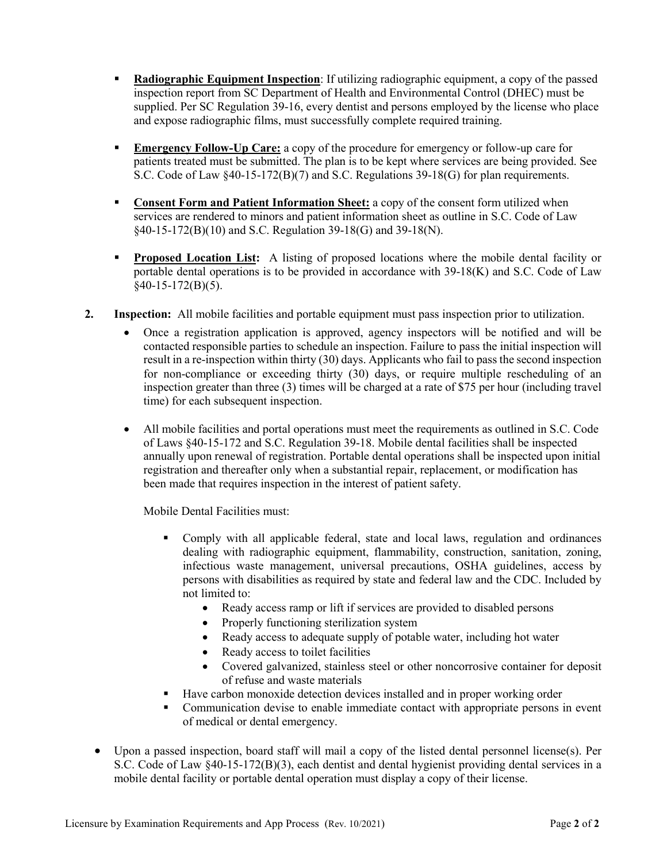- **Radiographic Equipment Inspection**: If utilizing radiographic equipment, a copy of the passed inspection report from SC Department of Health and Environmental Control (DHEC) must be supplied. Per SC Regulation 39-16, every dentist and persons employed by the license who place and expose radiographic films, must successfully complete required training.
- **Emergency Follow-Up Care:** a copy of the procedure for emergency or follow-up care for patients treated must be submitted. The plan is to be kept where services are being provided. See S.C. Code of Law §40-15-172(B)(7) and S.C. Regulations 39-18(G) for plan requirements.
- **Consent Form and Patient Information Sheet:** a copy of the consent form utilized when services are rendered to minors and patient information sheet as outline in S.C. Code of Law §40-15-172(B)(10) and S.C. Regulation 39-18(G) and 39-18(N).
- **Proposed Location List:** A listing of proposed locations where the mobile dental facility or portable dental operations is to be provided in accordance with 39-18(K) and S.C. Code of Law  $§$ 40-15-172(B)(5).
- **2. Inspection:** All mobile facilities and portable equipment must pass inspection prior to utilization.
	- Once a registration application is approved, agency inspectors will be notified and will be contacted responsible parties to schedule an inspection. Failure to pass the initial inspection will result in a re-inspection within thirty (30) days. Applicants who fail to pass the second inspection for non-compliance or exceeding thirty (30) days, or require multiple rescheduling of an inspection greater than three (3) times will be charged at a rate of \$75 per hour (including travel time) for each subsequent inspection.
	- All mobile facilities and portal operations must meet the requirements as outlined in S.C. Code of Laws §40-15-172 and S.C. Regulation 39-18. Mobile dental facilities shall be inspected annually upon renewal of registration. Portable dental operations shall be inspected upon initial registration and thereafter only when a substantial repair, replacement, or modification has been made that requires inspection in the interest of patient safety.

Mobile Dental Facilities must:

- Comply with all applicable federal, state and local laws, regulation and ordinances dealing with radiographic equipment, flammability, construction, sanitation, zoning, infectious waste management, universal precautions, OSHA guidelines, access by persons with disabilities as required by state and federal law and the CDC. Included by not limited to:
	- Ready access ramp or lift if services are provided to disabled persons
	- Properly functioning sterilization system
	- Ready access to adequate supply of potable water, including hot water
	- Ready access to toilet facilities
	- Covered galvanized, stainless steel or other noncorrosive container for deposit of refuse and waste materials
- Have carbon monoxide detection devices installed and in proper working order
- Communication devise to enable immediate contact with appropriate persons in event of medical or dental emergency.
- Upon a passed inspection, board staff will mail a copy of the listed dental personnel license(s). Per S.C. Code of Law §40-15-172(B)(3), each dentist and dental hygienist providing dental services in a mobile dental facility or portable dental operation must display a copy of their license.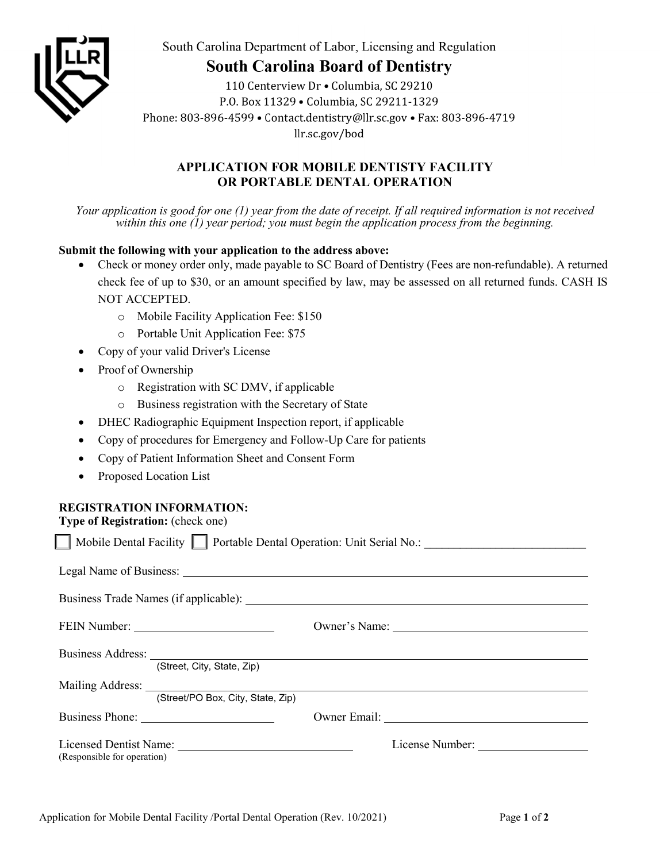

South Carolina Department of Labor, Licensing and Regulation

## **South Carolina Board of Dentistry**

110 Centerview Dr . Columbia, SC 29210 P.O. Box 11329 . Columbia, SC 29211-1329 Phone: 803-896-4599 · Contact.dentistry@llr.sc.gov · Fax: 803-896-4719 llr.sc.gov/bod

#### **APPLICATION FOR MOBILE DENTISTY FACILITY OR PORTABLE DENTAL OPERATION**

*Your application is good for one (1) year from the date of receipt. If all required information is not received within this one (1) year period; you must begin the application process from the beginning.* 

#### **Submit the following with your application to the address above:**

- Check or money order only, made payable to SC Board of Dentistry (Fees are non-refundable). A returned check fee of up to \$30, or an amount specified by law, may be assessed on all returned funds. CASH IS NOT ACCEPTED.
	- o Mobile Facility Application Fee: \$150
	- o Portable Unit Application Fee: \$75
- Copy of your valid Driver's License
- Proof of Ownership
	- o Registration with SC DMV, if applicable
	- o Business registration with the Secretary of State
- DHEC Radiographic Equipment Inspection report, if applicable
- Copy of procedures for Emergency and Follow-Up Care for patients
- Copy of Patient Information Sheet and Consent Form
- Proposed Location List

### **REGISTRATION INFORMATION:**

**Type of Registration:** (check one)

|                             |                                                                                                                                                                                                                                                                     |  | Owner's Name: |  |  |  |
|-----------------------------|---------------------------------------------------------------------------------------------------------------------------------------------------------------------------------------------------------------------------------------------------------------------|--|---------------|--|--|--|
|                             | (Street, City, State, Zip)                                                                                                                                                                                                                                          |  |               |  |  |  |
|                             | Mailing Address: National Address: National Address: National Address: National Address: National Address: National Address: National Address: National Address: National Address: National Address: National Address: Nationa<br>(Street/PO Box, City, State, Zip) |  |               |  |  |  |
|                             |                                                                                                                                                                                                                                                                     |  |               |  |  |  |
| (Responsible for operation) |                                                                                                                                                                                                                                                                     |  |               |  |  |  |